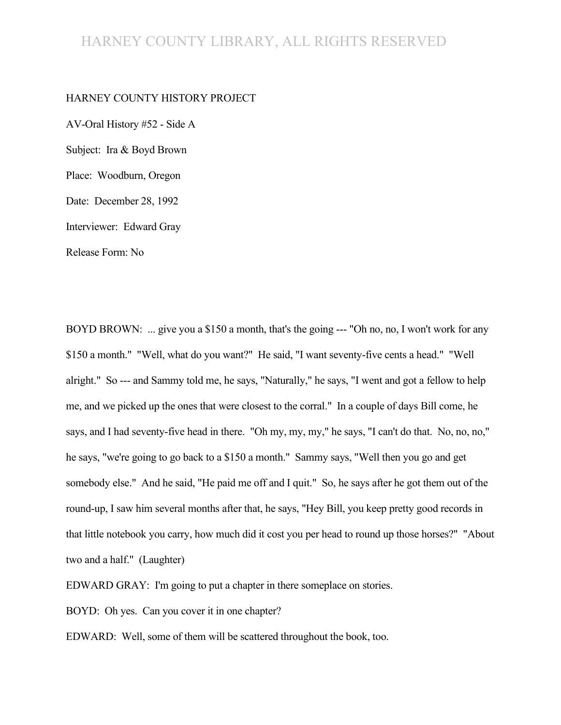#### HARNEY COUNTY LIBRARY, ALL RIGHTS RESERVED

#### HARNEY COUNTY HISTORY PROJECT

AV-Oral History #52 - Side A Subject: Ira & Boyd Brown Place: Woodburn, Oregon Date: December 28, 1992 Interviewer: Edward Gray Release Form: No

BOYD BROWN: ... give you a \$150 a month, that's the going --- "Oh no, no, I won't work for any \$150 a month." "Well, what do you want?" He said, "I want seventy-five cents a head." "Well alright." So --- and Sammy told me, he says, "Naturally," he says, "I went and got a fellow to help me, and we picked up the ones that were closest to the corral." In a couple of days Bill come, he says, and I had seventy-five head in there. "Oh my, my, my," he says, "I can't do that. No, no, no," he says, "we're going to go back to a \$150 a month." Sammy says, "Well then you go and get somebody else." And he said, "He paid me off and I quit." So, he says after he got them out of the round-up, I saw him several months after that, he says, "Hey Bill, you keep pretty good records in that little notebook you carry, how much did it cost you per head to round up those horses?" "About two and a half." (Laughter)

EDWARD GRAY: I'm going to put a chapter in there someplace on stories.

BOYD: Oh yes. Can you cover it in one chapter?

EDWARD: Well, some of them will be scattered throughout the book, too.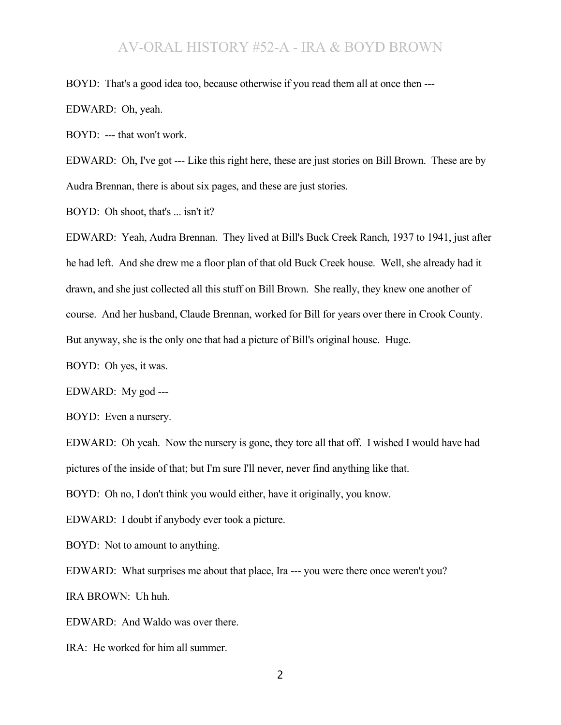BOYD: That's a good idea too, because otherwise if you read them all at once then ---

EDWARD: Oh, yeah.

BOYD: --- that won't work.

EDWARD: Oh, I've got --- Like this right here, these are just stories on Bill Brown. These are by Audra Brennan, there is about six pages, and these are just stories.

BOYD: Oh shoot, that's ... isn't it?

EDWARD: Yeah, Audra Brennan. They lived at Bill's Buck Creek Ranch, 1937 to 1941, just after he had left. And she drew me a floor plan of that old Buck Creek house. Well, she already had it drawn, and she just collected all this stuff on Bill Brown. She really, they knew one another of course. And her husband, Claude Brennan, worked for Bill for years over there in Crook County. But anyway, she is the only one that had a picture of Bill's original house. Huge.

BOYD: Oh yes, it was.

EDWARD: My god ---

BOYD: Even a nursery.

EDWARD: Oh yeah. Now the nursery is gone, they tore all that off. I wished I would have had pictures of the inside of that; but I'm sure I'll never, never find anything like that.

BOYD: Oh no, I don't think you would either, have it originally, you know.

EDWARD: I doubt if anybody ever took a picture.

BOYD: Not to amount to anything.

EDWARD: What surprises me about that place, Ira --- you were there once weren't you? IRA BROWN: Uh huh.

EDWARD: And Waldo was over there.

IRA: He worked for him all summer.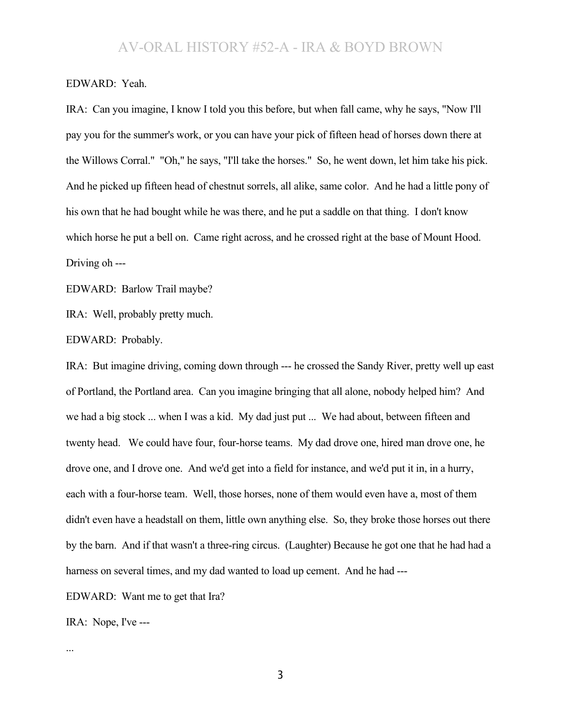#### EDWARD: Yeah.

IRA: Can you imagine, I know I told you this before, but when fall came, why he says, "Now I'll pay you for the summer's work, or you can have your pick of fifteen head of horses down there at the Willows Corral." "Oh," he says, "I'll take the horses." So, he went down, let him take his pick. And he picked up fifteen head of chestnut sorrels, all alike, same color. And he had a little pony of his own that he had bought while he was there, and he put a saddle on that thing. I don't know which horse he put a bell on. Came right across, and he crossed right at the base of Mount Hood. Driving oh ---

EDWARD: Barlow Trail maybe?

IRA: Well, probably pretty much.

EDWARD: Probably.

IRA: But imagine driving, coming down through --- he crossed the Sandy River, pretty well up east of Portland, the Portland area. Can you imagine bringing that all alone, nobody helped him? And we had a big stock ... when I was a kid. My dad just put ... We had about, between fifteen and twenty head. We could have four, four-horse teams. My dad drove one, hired man drove one, he drove one, and I drove one. And we'd get into a field for instance, and we'd put it in, in a hurry, each with a four-horse team. Well, those horses, none of them would even have a, most of them didn't even have a headstall on them, little own anything else. So, they broke those horses out there by the barn. And if that wasn't a three-ring circus. (Laughter) Because he got one that he had had a harness on several times, and my dad wanted to load up cement. And he had ---

EDWARD: Want me to get that Ira?

IRA: Nope, I've ---

...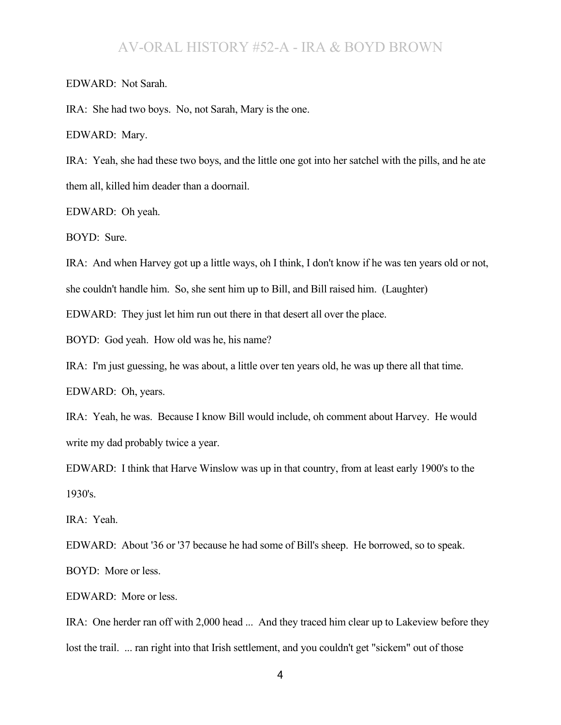EDWARD: Not Sarah.

IRA: She had two boys. No, not Sarah, Mary is the one.

EDWARD: Mary.

IRA: Yeah, she had these two boys, and the little one got into her satchel with the pills, and he ate them all, killed him deader than a doornail.

EDWARD: Oh yeah.

BOYD: Sure.

IRA: And when Harvey got up a little ways, oh I think, I don't know if he was ten years old or not,

she couldn't handle him. So, she sent him up to Bill, and Bill raised him. (Laughter)

EDWARD: They just let him run out there in that desert all over the place.

BOYD: God yeah. How old was he, his name?

IRA: I'm just guessing, he was about, a little over ten years old, he was up there all that time.

EDWARD: Oh, years.

IRA: Yeah, he was. Because I know Bill would include, oh comment about Harvey. He would write my dad probably twice a year.

EDWARD: I think that Harve Winslow was up in that country, from at least early 1900's to the 1930's.

IRA: Yeah.

EDWARD: About '36 or '37 because he had some of Bill's sheep. He borrowed, so to speak.

BOYD: More or less.

EDWARD: More or less.

IRA: One herder ran off with 2,000 head ... And they traced him clear up to Lakeview before they lost the trail. ... ran right into that Irish settlement, and you couldn't get "sickem" out of those

4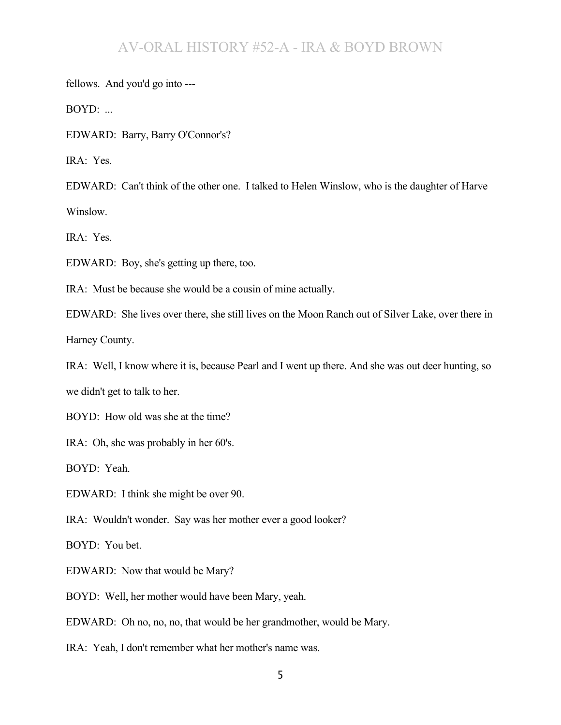fellows. And you'd go into ---

BOYD: ...

EDWARD: Barry, Barry O'Connor's?

IRA: Yes.

EDWARD: Can't think of the other one. I talked to Helen Winslow, who is the daughter of Harve Winslow.

IRA: Yes.

EDWARD: Boy, she's getting up there, too.

IRA: Must be because she would be a cousin of mine actually.

EDWARD: She lives over there, she still lives on the Moon Ranch out of Silver Lake, over there in Harney County.

IRA: Well, I know where it is, because Pearl and I went up there. And she was out deer hunting, so we didn't get to talk to her.

BOYD: How old was she at the time?

IRA: Oh, she was probably in her 60's.

BOYD: Yeah.

EDWARD: I think she might be over 90.

IRA: Wouldn't wonder. Say was her mother ever a good looker?

BOYD: You bet.

EDWARD: Now that would be Mary?

BOYD: Well, her mother would have been Mary, yeah.

EDWARD: Oh no, no, no, that would be her grandmother, would be Mary.

IRA: Yeah, I don't remember what her mother's name was.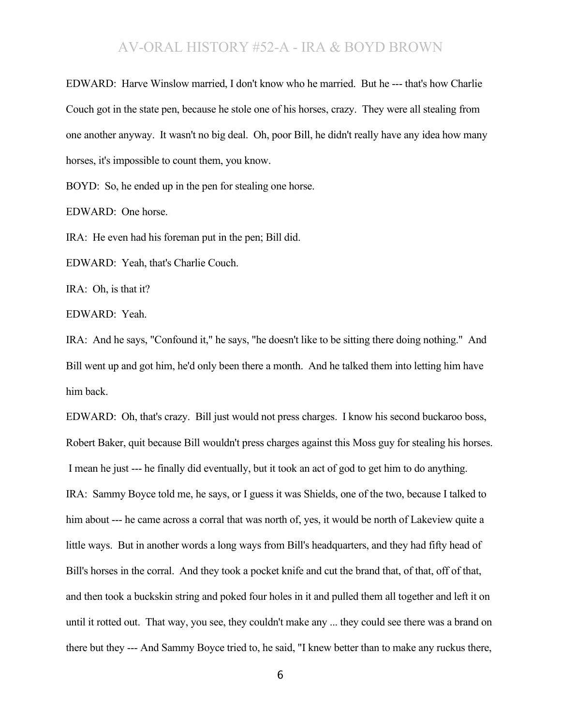EDWARD: Harve Winslow married, I don't know who he married. But he --- that's how Charlie Couch got in the state pen, because he stole one of his horses, crazy. They were all stealing from one another anyway. It wasn't no big deal. Oh, poor Bill, he didn't really have any idea how many horses, it's impossible to count them, you know.

BOYD: So, he ended up in the pen for stealing one horse.

EDWARD: One horse.

IRA: He even had his foreman put in the pen; Bill did.

EDWARD: Yeah, that's Charlie Couch.

IRA: Oh, is that it?

EDWARD: Yeah.

IRA: And he says, "Confound it," he says, "he doesn't like to be sitting there doing nothing." And Bill went up and got him, he'd only been there a month. And he talked them into letting him have him back.

EDWARD: Oh, that's crazy. Bill just would not press charges. I know his second buckaroo boss, Robert Baker, quit because Bill wouldn't press charges against this Moss guy for stealing his horses. I mean he just --- he finally did eventually, but it took an act of god to get him to do anything. IRA: Sammy Boyce told me, he says, or I guess it was Shields, one of the two, because I talked to him about --- he came across a corral that was north of, yes, it would be north of Lakeview quite a little ways. But in another words a long ways from Bill's headquarters, and they had fifty head of Bill's horses in the corral. And they took a pocket knife and cut the brand that, of that, off of that, and then took a buckskin string and poked four holes in it and pulled them all together and left it on until it rotted out. That way, you see, they couldn't make any ... they could see there was a brand on there but they --- And Sammy Boyce tried to, he said, "I knew better than to make any ruckus there,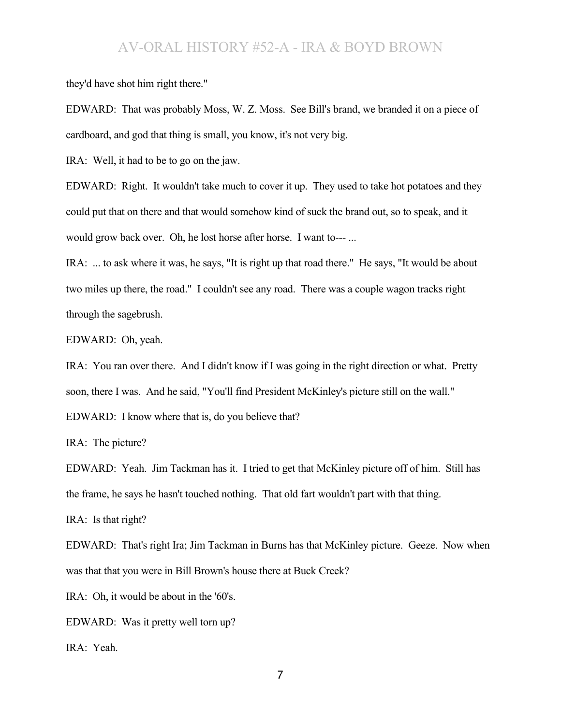they'd have shot him right there."

EDWARD: That was probably Moss, W. Z. Moss. See Bill's brand, we branded it on a piece of cardboard, and god that thing is small, you know, it's not very big.

IRA: Well, it had to be to go on the jaw.

EDWARD: Right. It wouldn't take much to cover it up. They used to take hot potatoes and they could put that on there and that would somehow kind of suck the brand out, so to speak, and it would grow back over. Oh, he lost horse after horse. I want to--- ...

IRA: ... to ask where it was, he says, "It is right up that road there." He says, "It would be about two miles up there, the road." I couldn't see any road. There was a couple wagon tracks right through the sagebrush.

EDWARD: Oh, yeah.

IRA: You ran over there. And I didn't know if I was going in the right direction or what. Pretty soon, there I was. And he said, "You'll find President McKinley's picture still on the wall." EDWARD: I know where that is, do you believe that?

IRA: The picture?

EDWARD: Yeah. Jim Tackman has it. I tried to get that McKinley picture off of him. Still has the frame, he says he hasn't touched nothing. That old fart wouldn't part with that thing.

IRA: Is that right?

EDWARD: That's right Ira; Jim Tackman in Burns has that McKinley picture. Geeze. Now when was that that you were in Bill Brown's house there at Buck Creek?

IRA: Oh, it would be about in the '60's.

EDWARD: Was it pretty well torn up?

IRA: Yeah.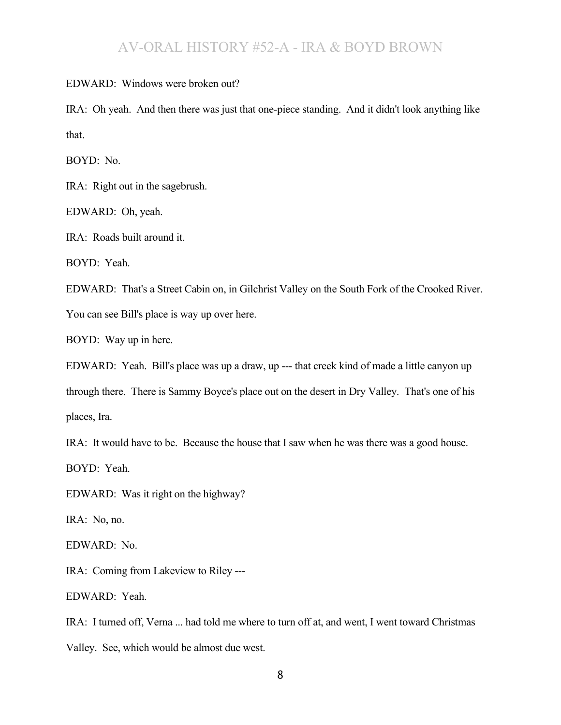EDWARD: Windows were broken out?

IRA: Oh yeah. And then there was just that one-piece standing. And it didn't look anything like that.

BOYD: No.

IRA: Right out in the sagebrush.

EDWARD: Oh, yeah.

IRA: Roads built around it.

BOYD: Yeah.

EDWARD: That's a Street Cabin on, in Gilchrist Valley on the South Fork of the Crooked River.

You can see Bill's place is way up over here.

BOYD: Way up in here.

EDWARD: Yeah. Bill's place was up a draw, up --- that creek kind of made a little canyon up

through there. There is Sammy Boyce's place out on the desert in Dry Valley. That's one of his places, Ira.

IRA: It would have to be. Because the house that I saw when he was there was a good house.

BOYD: Yeah.

EDWARD: Was it right on the highway?

IRA: No, no.

EDWARD: No.

IRA: Coming from Lakeview to Riley ---

EDWARD: Yeah.

IRA: I turned off, Verna ... had told me where to turn off at, and went, I went toward Christmas Valley. See, which would be almost due west.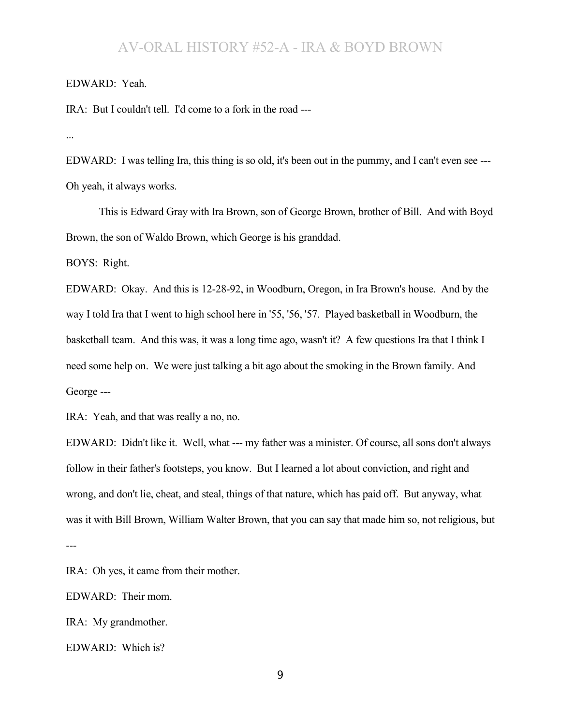#### EDWARD: Yeah.

IRA: But I couldn't tell. I'd come to a fork in the road ---

...

EDWARD: I was telling Ira, this thing is so old, it's been out in the pummy, and I can't even see --- Oh yeah, it always works.

This is Edward Gray with Ira Brown, son of George Brown, brother of Bill. And with Boyd Brown, the son of Waldo Brown, which George is his granddad.

BOYS: Right.

EDWARD: Okay. And this is 12-28-92, in Woodburn, Oregon, in Ira Brown's house. And by the way I told Ira that I went to high school here in '55, '56, '57. Played basketball in Woodburn, the basketball team. And this was, it was a long time ago, wasn't it? A few questions Ira that I think I need some help on. We were just talking a bit ago about the smoking in the Brown family. And George ---

IRA: Yeah, and that was really a no, no.

EDWARD: Didn't like it. Well, what --- my father was a minister. Of course, all sons don't always follow in their father's footsteps, you know. But I learned a lot about conviction, and right and wrong, and don't lie, cheat, and steal, things of that nature, which has paid off. But anyway, what was it with Bill Brown, William Walter Brown, that you can say that made him so, not religious, but

---

IRA: Oh yes, it came from their mother.

EDWARD: Their mom.

IRA: My grandmother.

EDWARD: Which is?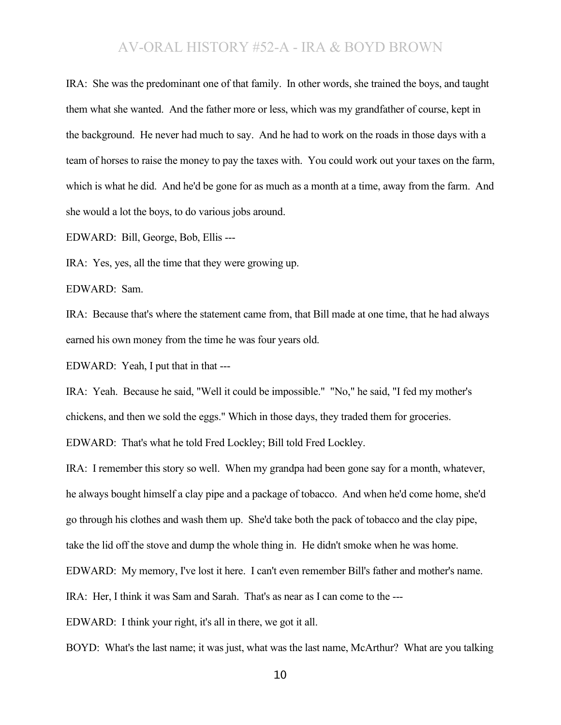IRA: She was the predominant one of that family. In other words, she trained the boys, and taught them what she wanted. And the father more or less, which was my grandfather of course, kept in the background. He never had much to say. And he had to work on the roads in those days with a team of horses to raise the money to pay the taxes with. You could work out your taxes on the farm, which is what he did. And he'd be gone for as much as a month at a time, away from the farm. And she would a lot the boys, to do various jobs around.

EDWARD: Bill, George, Bob, Ellis ---

IRA: Yes, yes, all the time that they were growing up.

EDWARD: Sam.

IRA: Because that's where the statement came from, that Bill made at one time, that he had always earned his own money from the time he was four years old.

EDWARD: Yeah, I put that in that ---

IRA: Yeah. Because he said, "Well it could be impossible." "No," he said, "I fed my mother's chickens, and then we sold the eggs." Which in those days, they traded them for groceries.

EDWARD: That's what he told Fred Lockley; Bill told Fred Lockley.

IRA: I remember this story so well. When my grandpa had been gone say for a month, whatever, he always bought himself a clay pipe and a package of tobacco. And when he'd come home, she'd go through his clothes and wash them up. She'd take both the pack of tobacco and the clay pipe, take the lid off the stove and dump the whole thing in. He didn't smoke when he was home.

EDWARD: My memory, I've lost it here. I can't even remember Bill's father and mother's name.

IRA: Her, I think it was Sam and Sarah. That's as near as I can come to the ---

EDWARD: I think your right, it's all in there, we got it all.

BOYD: What's the last name; it was just, what was the last name, McArthur? What are you talking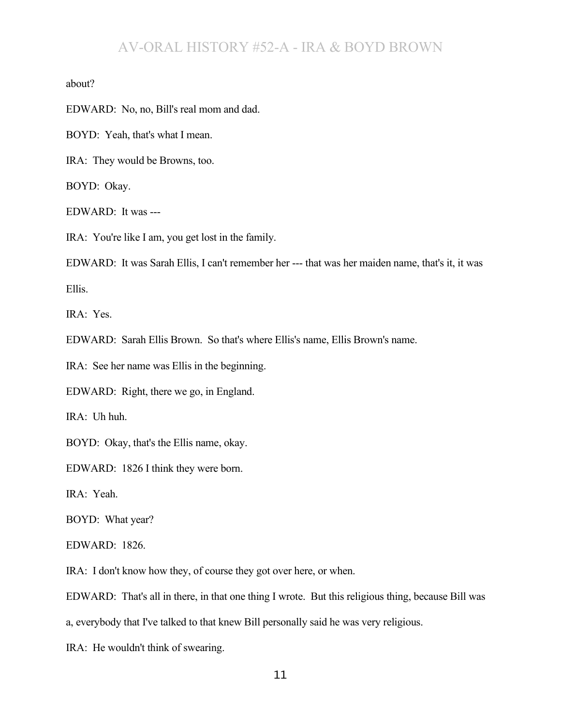about?

EDWARD: No, no, Bill's real mom and dad.

BOYD: Yeah, that's what I mean.

IRA: They would be Browns, too.

BOYD: Okay.

EDWARD: It was ---

IRA: You're like I am, you get lost in the family.

EDWARD: It was Sarah Ellis, I can't remember her --- that was her maiden name, that's it, it was

Ellis.

IRA: Yes.

EDWARD: Sarah Ellis Brown. So that's where Ellis's name, Ellis Brown's name.

IRA: See her name was Ellis in the beginning.

EDWARD: Right, there we go, in England.

IRA: Uh huh.

BOYD: Okay, that's the Ellis name, okay.

EDWARD: 1826 I think they were born.

IRA: Yeah.

BOYD: What year?

EDWARD: 1826.

IRA: I don't know how they, of course they got over here, or when.

EDWARD: That's all in there, in that one thing I wrote. But this religious thing, because Bill was

a, everybody that I've talked to that knew Bill personally said he was very religious.

IRA: He wouldn't think of swearing.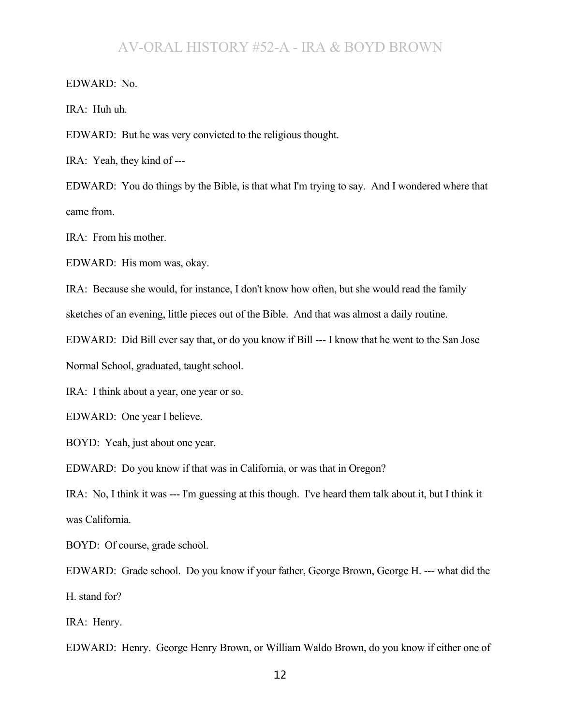EDWARD: No.

IRA: Huh uh.

EDWARD: But he was very convicted to the religious thought.

IRA: Yeah, they kind of ---

EDWARD: You do things by the Bible, is that what I'm trying to say. And I wondered where that came from.

IRA: From his mother.

EDWARD: His mom was, okay.

IRA: Because she would, for instance, I don't know how often, but she would read the family

sketches of an evening, little pieces out of the Bible. And that was almost a daily routine.

EDWARD: Did Bill ever say that, or do you know if Bill --- I know that he went to the San Jose

Normal School, graduated, taught school.

IRA: I think about a year, one year or so.

EDWARD: One year I believe.

BOYD: Yeah, just about one year.

EDWARD: Do you know if that was in California, or was that in Oregon?

IRA: No, I think it was --- I'm guessing at this though. I've heard them talk about it, but I think it was California.

BOYD: Of course, grade school.

EDWARD: Grade school. Do you know if your father, George Brown, George H. --- what did the H. stand for?

IRA: Henry.

EDWARD: Henry. George Henry Brown, or William Waldo Brown, do you know if either one of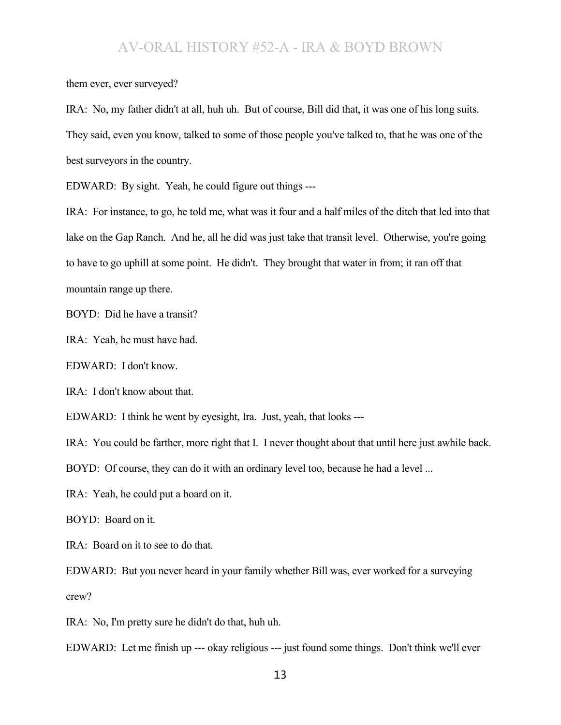them ever, ever surveyed?

IRA: No, my father didn't at all, huh uh. But of course, Bill did that, it was one of his long suits. They said, even you know, talked to some of those people you've talked to, that he was one of the best surveyors in the country.

EDWARD: By sight. Yeah, he could figure out things ---

IRA: For instance, to go, he told me, what was it four and a half miles of the ditch that led into that lake on the Gap Ranch. And he, all he did was just take that transit level. Otherwise, you're going to have to go uphill at some point. He didn't. They brought that water in from; it ran off that mountain range up there.

BOYD: Did he have a transit?

IRA: Yeah, he must have had.

EDWARD: I don't know.

IRA: I don't know about that.

EDWARD: I think he went by eyesight, Ira. Just, yeah, that looks ---

IRA: You could be farther, more right that I. I never thought about that until here just awhile back.

BOYD: Of course, they can do it with an ordinary level too, because he had a level ...

IRA: Yeah, he could put a board on it.

BOYD: Board on it.

IRA: Board on it to see to do that.

EDWARD: But you never heard in your family whether Bill was, ever worked for a surveying crew?

IRA: No, I'm pretty sure he didn't do that, huh uh.

EDWARD: Let me finish up --- okay religious --- just found some things. Don't think we'll ever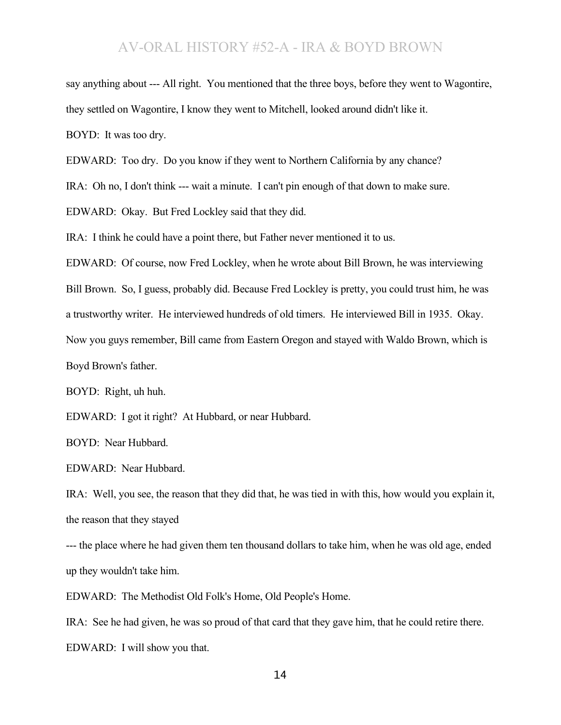say anything about --- All right. You mentioned that the three boys, before they went to Wagontire, they settled on Wagontire, I know they went to Mitchell, looked around didn't like it. BOYD: It was too dry.

EDWARD: Too dry. Do you know if they went to Northern California by any chance?

IRA: Oh no, I don't think --- wait a minute. I can't pin enough of that down to make sure.

EDWARD: Okay. But Fred Lockley said that they did.

IRA: I think he could have a point there, but Father never mentioned it to us.

EDWARD: Of course, now Fred Lockley, when he wrote about Bill Brown, he was interviewing

Bill Brown. So, I guess, probably did. Because Fred Lockley is pretty, you could trust him, he was

a trustworthy writer. He interviewed hundreds of old timers. He interviewed Bill in 1935. Okay.

Now you guys remember, Bill came from Eastern Oregon and stayed with Waldo Brown, which is

Boyd Brown's father.

BOYD: Right, uh huh.

EDWARD: I got it right? At Hubbard, or near Hubbard.

BOYD: Near Hubbard.

EDWARD: Near Hubbard.

IRA: Well, you see, the reason that they did that, he was tied in with this, how would you explain it, the reason that they stayed

--- the place where he had given them ten thousand dollars to take him, when he was old age, ended up they wouldn't take him.

EDWARD: The Methodist Old Folk's Home, Old People's Home.

IRA: See he had given, he was so proud of that card that they gave him, that he could retire there. EDWARD: I will show you that.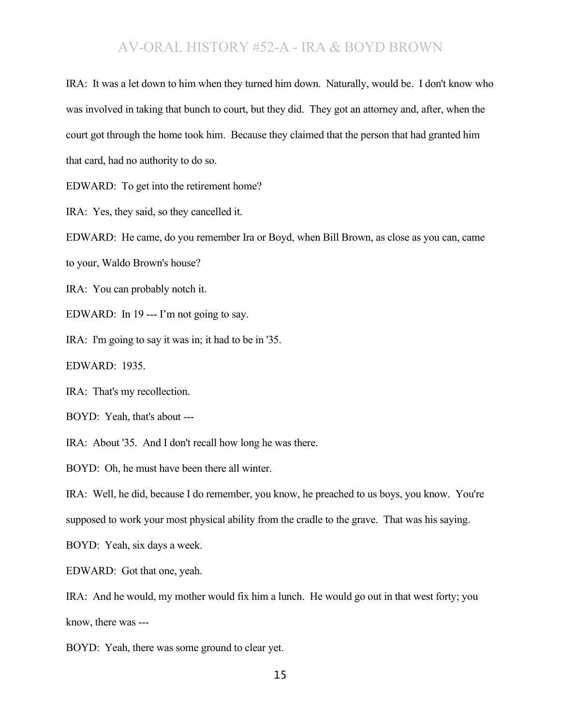IRA: It was a let down to him when they turned him down. Naturally, would be. I don't know who was involved in taking that bunch to court, but they did. They got an attorney and, after, when the court got through the home took him. Because they claimed that the person that had granted him that card, had no authority to do so.

EDWARD: To get into the retirement home?

IRA: Yes, they said, so they cancelled it.

EDWARD: He came, do you remember Ira or Boyd, when Bill Brown, as close as you can, came

to your, Waldo Brown's house?

IRA: You can probably notch it.

EDWARD: In 19 --- I'm not going to say.

IRA: I'm going to say it was in; it had to be in '35.

EDWARD: 1935.

IRA: That's my recollection.

BOYD: Yeah, that's about ---

IRA: About '35. And I don't recall how long he was there.

BOYD: Oh, he must have been there all winter.

IRA: Well, he did, because I do remember, you know, he preached to us boys, you know. You're supposed to work your most physical ability from the cradle to the grave. That was his saying.

BOYD: Yeah, six days a week.

EDWARD: Got that one, yeah.

IRA: And he would, my mother would fix him a lunch. He would go out in that west forty; you know, there was ---

BOYD: Yeah, there was some ground to clear yet.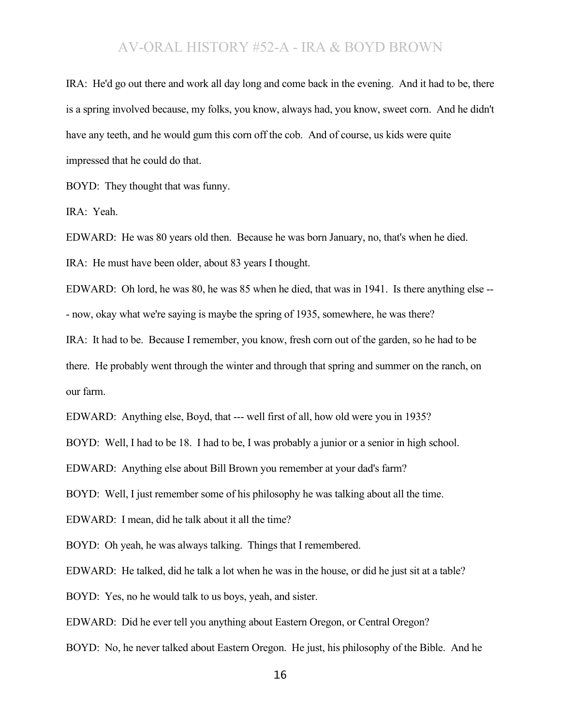IRA: He'd go out there and work all day long and come back in the evening. And it had to be, there is a spring involved because, my folks, you know, always had, you know, sweet corn. And he didn't have any teeth, and he would gum this corn off the cob. And of course, us kids were quite impressed that he could do that.

BOYD: They thought that was funny.

IRA: Yeah.

EDWARD: He was 80 years old then. Because he was born January, no, that's when he died.

IRA: He must have been older, about 83 years I thought.

EDWARD: Oh lord, he was 80, he was 85 when he died, that was in 1941. Is there anything else -- - now, okay what we're saying is maybe the spring of 1935, somewhere, he was there?

IRA: It had to be. Because I remember, you know, fresh corn out of the garden, so he had to be there. He probably went through the winter and through that spring and summer on the ranch, on our farm.

EDWARD: Anything else, Boyd, that --- well first of all, how old were you in 1935?

BOYD: Well, I had to be 18. I had to be, I was probably a junior or a senior in high school.

EDWARD: Anything else about Bill Brown you remember at your dad's farm?

BOYD: Well, I just remember some of his philosophy he was talking about all the time.

EDWARD: I mean, did he talk about it all the time?

BOYD: Oh yeah, he was always talking. Things that I remembered.

EDWARD: He talked, did he talk a lot when he was in the house, or did he just sit at a table?

BOYD: Yes, no he would talk to us boys, yeah, and sister.

EDWARD: Did he ever tell you anything about Eastern Oregon, or Central Oregon?

BOYD: No, he never talked about Eastern Oregon. He just, his philosophy of the Bible. And he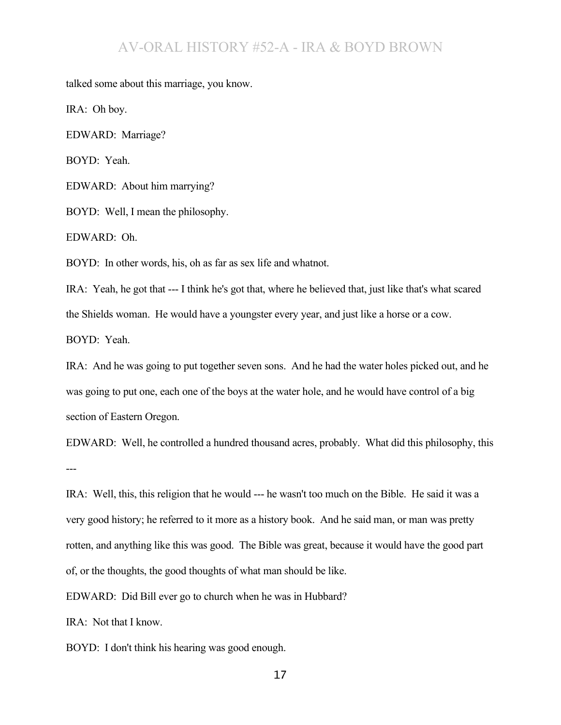talked some about this marriage, you know.

IRA: Oh boy.

EDWARD: Marriage?

BOYD: Yeah.

EDWARD: About him marrying?

BOYD: Well, I mean the philosophy.

EDWARD: Oh.

BOYD: In other words, his, oh as far as sex life and whatnot.

IRA: Yeah, he got that --- I think he's got that, where he believed that, just like that's what scared the Shields woman. He would have a youngster every year, and just like a horse or a cow. BOYD: Yeah.

IRA: And he was going to put together seven sons. And he had the water holes picked out, and he was going to put one, each one of the boys at the water hole, and he would have control of a big section of Eastern Oregon.

EDWARD: Well, he controlled a hundred thousand acres, probably. What did this philosophy, this ---

IRA: Well, this, this religion that he would --- he wasn't too much on the Bible. He said it was a very good history; he referred to it more as a history book. And he said man, or man was pretty rotten, and anything like this was good. The Bible was great, because it would have the good part of, or the thoughts, the good thoughts of what man should be like.

EDWARD: Did Bill ever go to church when he was in Hubbard?

IRA: Not that I know.

BOYD: I don't think his hearing was good enough.

17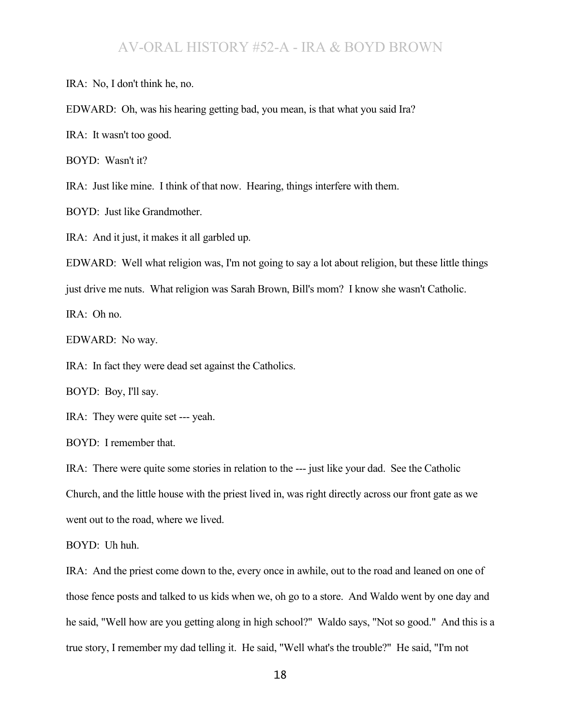IRA: No, I don't think he, no.

EDWARD: Oh, was his hearing getting bad, you mean, is that what you said Ira?

IRA: It wasn't too good.

BOYD: Wasn't it?

IRA: Just like mine. I think of that now. Hearing, things interfere with them.

BOYD: Just like Grandmother.

IRA: And it just, it makes it all garbled up.

EDWARD: Well what religion was, I'm not going to say a lot about religion, but these little things

just drive me nuts. What religion was Sarah Brown, Bill's mom? I know she wasn't Catholic.

IRA: Oh no.

EDWARD: No way.

IRA: In fact they were dead set against the Catholics.

BOYD: Boy, I'll say.

IRA: They were quite set --- yeah.

BOYD: I remember that.

IRA: There were quite some stories in relation to the --- just like your dad. See the Catholic Church, and the little house with the priest lived in, was right directly across our front gate as we went out to the road, where we lived.

BOYD: Uh huh.

IRA: And the priest come down to the, every once in awhile, out to the road and leaned on one of those fence posts and talked to us kids when we, oh go to a store. And Waldo went by one day and he said, "Well how are you getting along in high school?" Waldo says, "Not so good." And this is a true story, I remember my dad telling it. He said, "Well what's the trouble?" He said, "I'm not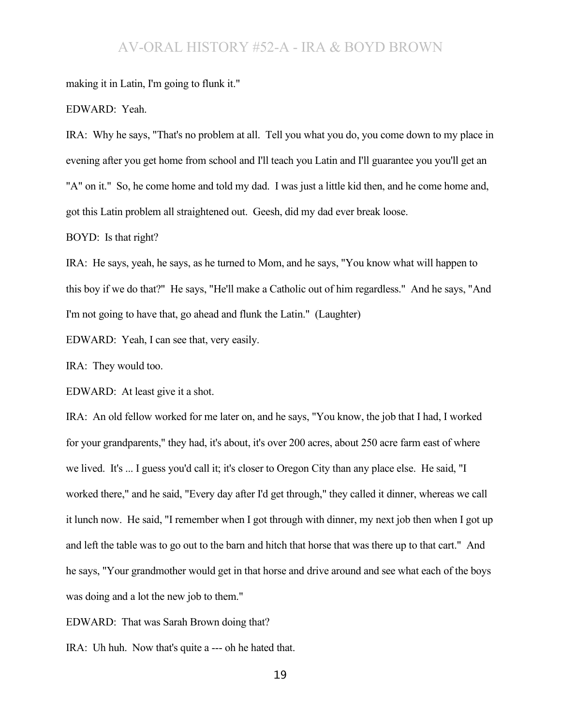making it in Latin, I'm going to flunk it."

EDWARD: Yeah.

IRA: Why he says, "That's no problem at all. Tell you what you do, you come down to my place in evening after you get home from school and I'll teach you Latin and I'll guarantee you you'll get an "A" on it." So, he come home and told my dad. I was just a little kid then, and he come home and, got this Latin problem all straightened out. Geesh, did my dad ever break loose.

BOYD: Is that right?

IRA: He says, yeah, he says, as he turned to Mom, and he says, "You know what will happen to this boy if we do that?" He says, "He'll make a Catholic out of him regardless." And he says, "And I'm not going to have that, go ahead and flunk the Latin." (Laughter)

EDWARD: Yeah, I can see that, very easily.

IRA: They would too.

EDWARD: At least give it a shot.

IRA: An old fellow worked for me later on, and he says, "You know, the job that I had, I worked for your grandparents," they had, it's about, it's over 200 acres, about 250 acre farm east of where we lived. It's ... I guess you'd call it; it's closer to Oregon City than any place else. He said, "I worked there," and he said, "Every day after I'd get through," they called it dinner, whereas we call it lunch now. He said, "I remember when I got through with dinner, my next job then when I got up and left the table was to go out to the barn and hitch that horse that was there up to that cart." And he says, "Your grandmother would get in that horse and drive around and see what each of the boys was doing and a lot the new job to them."

EDWARD: That was Sarah Brown doing that?

IRA: Uh huh. Now that's quite a --- oh he hated that.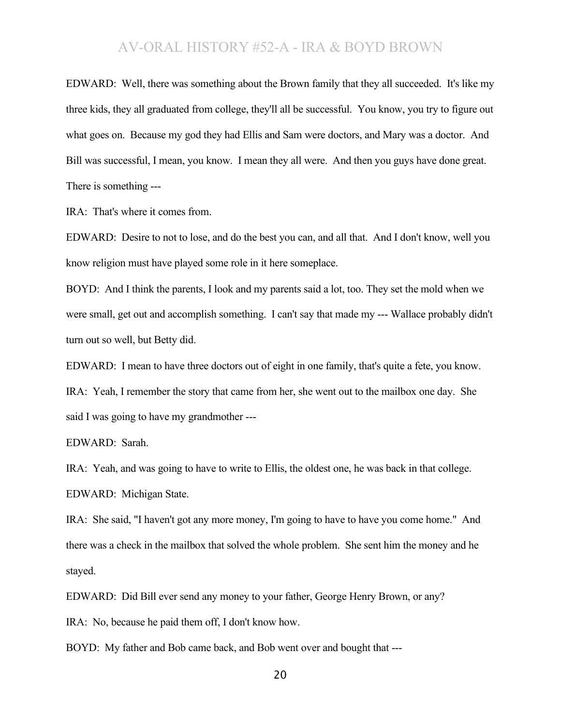EDWARD: Well, there was something about the Brown family that they all succeeded. It's like my three kids, they all graduated from college, they'll all be successful. You know, you try to figure out what goes on. Because my god they had Ellis and Sam were doctors, and Mary was a doctor. And Bill was successful, I mean, you know. I mean they all were. And then you guys have done great. There is something ---

IRA: That's where it comes from.

EDWARD: Desire to not to lose, and do the best you can, and all that. And I don't know, well you know religion must have played some role in it here someplace.

BOYD: And I think the parents, I look and my parents said a lot, too. They set the mold when we were small, get out and accomplish something. I can't say that made my --- Wallace probably didn't turn out so well, but Betty did.

EDWARD: I mean to have three doctors out of eight in one family, that's quite a fete, you know.

IRA: Yeah, I remember the story that came from her, she went out to the mailbox one day. She said I was going to have my grandmother ---

EDWARD: Sarah.

IRA: Yeah, and was going to have to write to Ellis, the oldest one, he was back in that college. EDWARD: Michigan State.

IRA: She said, "I haven't got any more money, I'm going to have to have you come home." And there was a check in the mailbox that solved the whole problem. She sent him the money and he stayed.

EDWARD: Did Bill ever send any money to your father, George Henry Brown, or any?

IRA: No, because he paid them off, I don't know how.

BOYD: My father and Bob came back, and Bob went over and bought that ---

20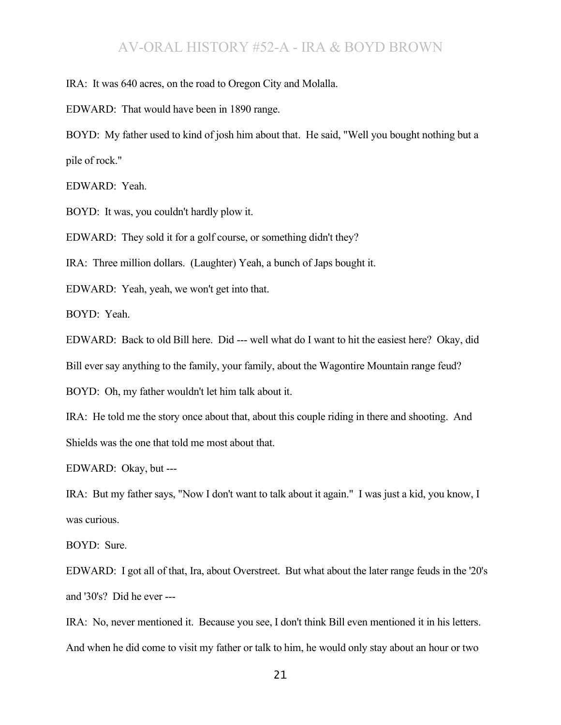IRA: It was 640 acres, on the road to Oregon City and Molalla.

EDWARD: That would have been in 1890 range.

BOYD: My father used to kind of josh him about that. He said, "Well you bought nothing but a pile of rock."

EDWARD: Yeah.

BOYD: It was, you couldn't hardly plow it.

EDWARD: They sold it for a golf course, or something didn't they?

IRA: Three million dollars. (Laughter) Yeah, a bunch of Japs bought it.

EDWARD: Yeah, yeah, we won't get into that.

BOYD: Yeah.

EDWARD: Back to old Bill here. Did --- well what do I want to hit the easiest here? Okay, did Bill ever say anything to the family, your family, about the Wagontire Mountain range feud?

BOYD: Oh, my father wouldn't let him talk about it.

IRA: He told me the story once about that, about this couple riding in there and shooting. And Shields was the one that told me most about that.

EDWARD: Okay, but ---

IRA: But my father says, "Now I don't want to talk about it again." I was just a kid, you know, I was curious.

BOYD: Sure.

EDWARD: I got all of that, Ira, about Overstreet. But what about the later range feuds in the '20's and '30's? Did he ever ---

IRA: No, never mentioned it. Because you see, I don't think Bill even mentioned it in his letters. And when he did come to visit my father or talk to him, he would only stay about an hour or two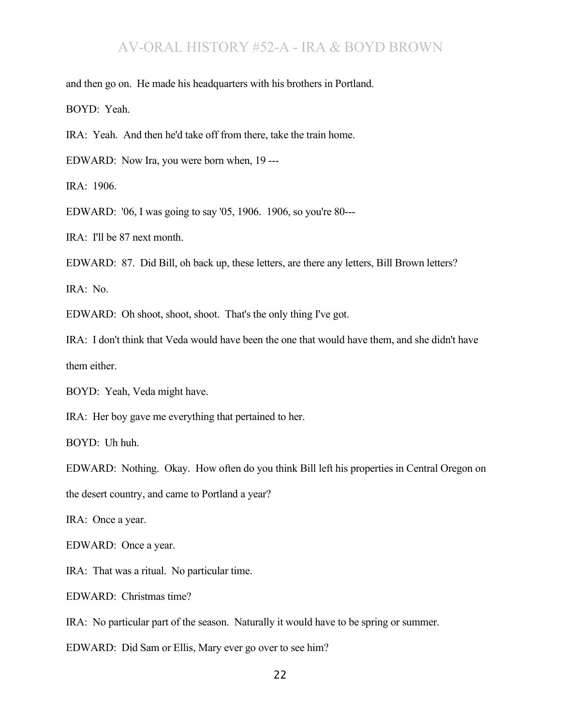and then go on. He made his headquarters with his brothers in Portland.

BOYD: Yeah.

IRA: Yeah. And then he'd take off from there, take the train home.

EDWARD: Now Ira, you were born when, 19 ---

IRA: 1906.

EDWARD: '06, I was going to say '05, 1906. 1906, so you're 80---

IRA: I'll be 87 next month.

EDWARD: 87. Did Bill, oh back up, these letters, are there any letters, Bill Brown letters?

IRA: No.

EDWARD: Oh shoot, shoot, shoot. That's the only thing I've got.

IRA: I don't think that Veda would have been the one that would have them, and she didn't have them either.

BOYD: Yeah, Veda might have.

IRA: Her boy gave me everything that pertained to her.

BOYD: Uh huh.

EDWARD: Nothing. Okay. How often do you think Bill left his properties in Central Oregon on

the desert country, and came to Portland a year?

IRA: Once a year.

EDWARD: Once a year.

IRA: That was a ritual. No particular time.

EDWARD: Christmas time?

IRA: No particular part of the season. Naturally it would have to be spring or summer.

EDWARD: Did Sam or Ellis, Mary ever go over to see him?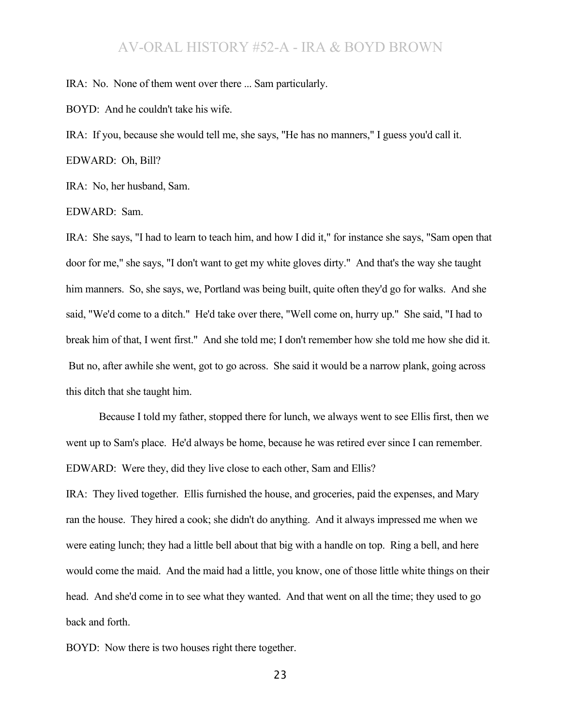IRA: No. None of them went over there ... Sam particularly.

BOYD: And he couldn't take his wife.

IRA: If you, because she would tell me, she says, "He has no manners," I guess you'd call it.

EDWARD: Oh, Bill?

IRA: No, her husband, Sam.

EDWARD: Sam.

IRA: She says, "I had to learn to teach him, and how I did it," for instance she says, "Sam open that door for me," she says, "I don't want to get my white gloves dirty." And that's the way she taught him manners. So, she says, we, Portland was being built, quite often they'd go for walks. And she said, "We'd come to a ditch." He'd take over there, "Well come on, hurry up." She said, "I had to break him of that, I went first." And she told me; I don't remember how she told me how she did it. But no, after awhile she went, got to go across. She said it would be a narrow plank, going across this ditch that she taught him.

Because I told my father, stopped there for lunch, we always went to see Ellis first, then we went up to Sam's place. He'd always be home, because he was retired ever since I can remember. EDWARD: Were they, did they live close to each other, Sam and Ellis?

IRA: They lived together. Ellis furnished the house, and groceries, paid the expenses, and Mary ran the house. They hired a cook; she didn't do anything. And it always impressed me when we were eating lunch; they had a little bell about that big with a handle on top. Ring a bell, and here would come the maid. And the maid had a little, you know, one of those little white things on their head. And she'd come in to see what they wanted. And that went on all the time; they used to go back and forth.

BOYD: Now there is two houses right there together.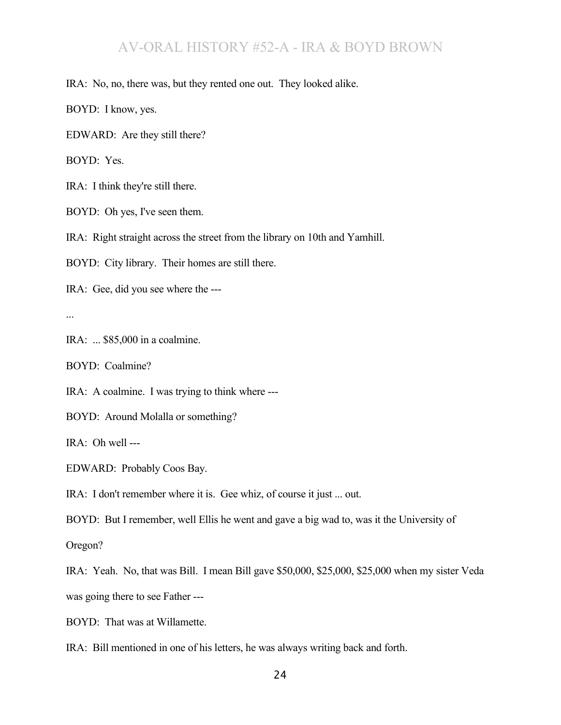IRA: No, no, there was, but they rented one out. They looked alike.

BOYD: I know, yes.

EDWARD: Are they still there?

BOYD: Yes.

IRA: I think they're still there.

BOYD: Oh yes, I've seen them.

IRA: Right straight across the street from the library on 10th and Yamhill.

BOYD: City library. Their homes are still there.

IRA: Gee, did you see where the ---

...

IRA: ... \$85,000 in a coalmine.

BOYD: Coalmine?

IRA: A coalmine. I was trying to think where ---

BOYD: Around Molalla or something?

IRA: Oh well ---

EDWARD: Probably Coos Bay.

IRA: I don't remember where it is. Gee whiz, of course it just ... out.

BOYD: But I remember, well Ellis he went and gave a big wad to, was it the University of

Oregon?

IRA: Yeah. No, that was Bill. I mean Bill gave \$50,000, \$25,000, \$25,000 when my sister Veda was going there to see Father ---

BOYD: That was at Willamette.

IRA: Bill mentioned in one of his letters, he was always writing back and forth.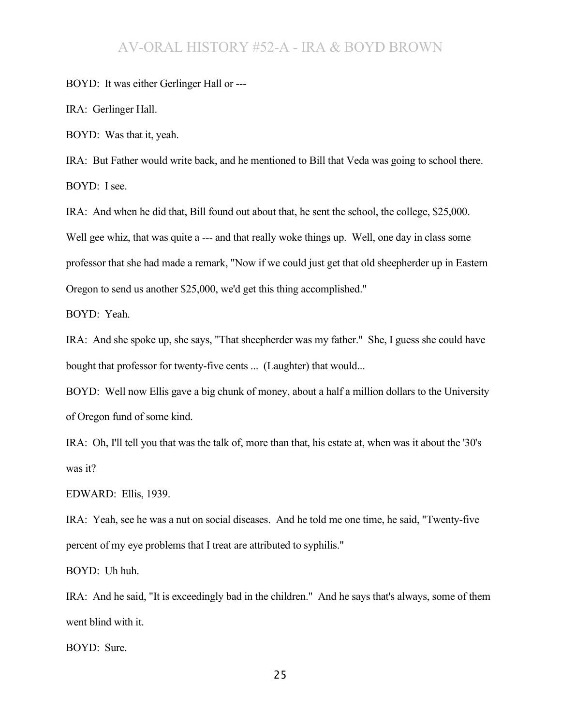BOYD: It was either Gerlinger Hall or ---

IRA: Gerlinger Hall.

BOYD: Was that it, yeah.

IRA: But Father would write back, and he mentioned to Bill that Veda was going to school there. BOYD: I see.

IRA: And when he did that, Bill found out about that, he sent the school, the college, \$25,000. Well gee whiz, that was quite a --- and that really woke things up. Well, one day in class some professor that she had made a remark, "Now if we could just get that old sheepherder up in Eastern Oregon to send us another \$25,000, we'd get this thing accomplished."

BOYD: Yeah.

IRA: And she spoke up, she says, "That sheepherder was my father." She, I guess she could have bought that professor for twenty-five cents ... (Laughter) that would...

BOYD: Well now Ellis gave a big chunk of money, about a half a million dollars to the University of Oregon fund of some kind.

IRA: Oh, I'll tell you that was the talk of, more than that, his estate at, when was it about the '30's was it?

EDWARD: Ellis, 1939.

IRA: Yeah, see he was a nut on social diseases. And he told me one time, he said, "Twenty-five percent of my eye problems that I treat are attributed to syphilis."

BOYD: Uh huh.

IRA: And he said, "It is exceedingly bad in the children." And he says that's always, some of them went blind with it.

BOYD: Sure.

25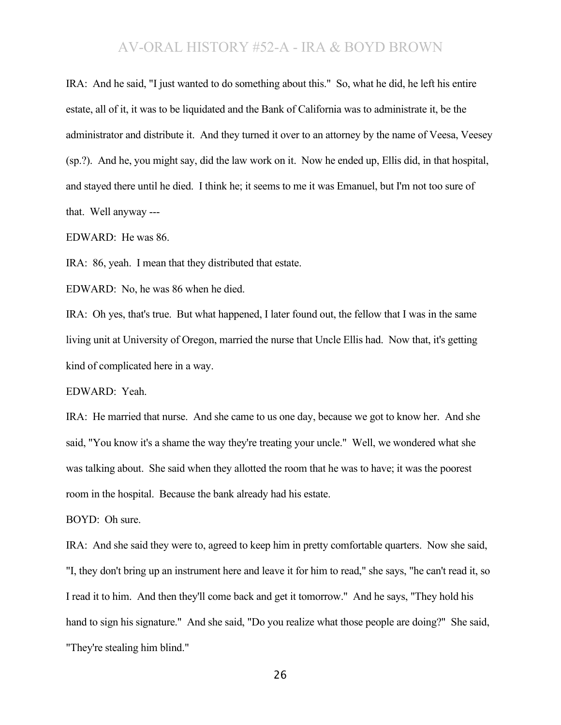IRA: And he said, "I just wanted to do something about this." So, what he did, he left his entire estate, all of it, it was to be liquidated and the Bank of California was to administrate it, be the administrator and distribute it. And they turned it over to an attorney by the name of Veesa, Veesey (sp.?). And he, you might say, did the law work on it. Now he ended up, Ellis did, in that hospital, and stayed there until he died. I think he; it seems to me it was Emanuel, but I'm not too sure of that. Well anyway ---

EDWARD: He was 86.

IRA: 86, yeah. I mean that they distributed that estate.

EDWARD: No, he was 86 when he died.

IRA: Oh yes, that's true. But what happened, I later found out, the fellow that I was in the same living unit at University of Oregon, married the nurse that Uncle Ellis had. Now that, it's getting kind of complicated here in a way.

EDWARD: Yeah.

IRA: He married that nurse. And she came to us one day, because we got to know her. And she said, "You know it's a shame the way they're treating your uncle." Well, we wondered what she was talking about. She said when they allotted the room that he was to have; it was the poorest room in the hospital. Because the bank already had his estate.

BOYD: Oh sure.

IRA: And she said they were to, agreed to keep him in pretty comfortable quarters. Now she said, "I, they don't bring up an instrument here and leave it for him to read," she says, "he can't read it, so I read it to him. And then they'll come back and get it tomorrow." And he says, "They hold his hand to sign his signature." And she said, "Do you realize what those people are doing?" She said, "They're stealing him blind."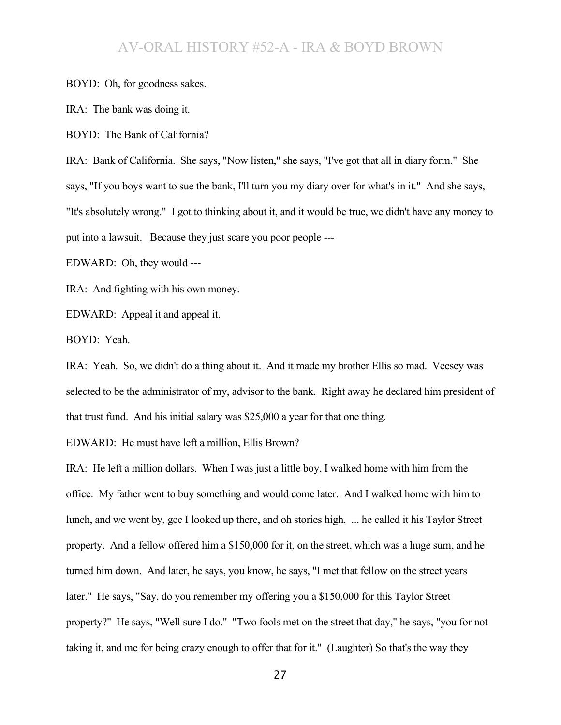BOYD: Oh, for goodness sakes.

IRA: The bank was doing it.

BOYD: The Bank of California?

IRA: Bank of California. She says, "Now listen," she says, "I've got that all in diary form." She says, "If you boys want to sue the bank, I'll turn you my diary over for what's in it." And she says, "It's absolutely wrong." I got to thinking about it, and it would be true, we didn't have any money to put into a lawsuit. Because they just scare you poor people ---

EDWARD: Oh, they would ---

IRA: And fighting with his own money.

EDWARD: Appeal it and appeal it.

BOYD: Yeah.

IRA: Yeah. So, we didn't do a thing about it. And it made my brother Ellis so mad. Veesey was selected to be the administrator of my, advisor to the bank. Right away he declared him president of that trust fund. And his initial salary was \$25,000 a year for that one thing.

EDWARD: He must have left a million, Ellis Brown?

IRA: He left a million dollars. When I was just a little boy, I walked home with him from the office. My father went to buy something and would come later. And I walked home with him to lunch, and we went by, gee I looked up there, and oh stories high. ... he called it his Taylor Street property. And a fellow offered him a \$150,000 for it, on the street, which was a huge sum, and he turned him down. And later, he says, you know, he says, "I met that fellow on the street years later." He says, "Say, do you remember my offering you a \$150,000 for this Taylor Street property?" He says, "Well sure I do." "Two fools met on the street that day," he says, "you for not taking it, and me for being crazy enough to offer that for it." (Laughter) So that's the way they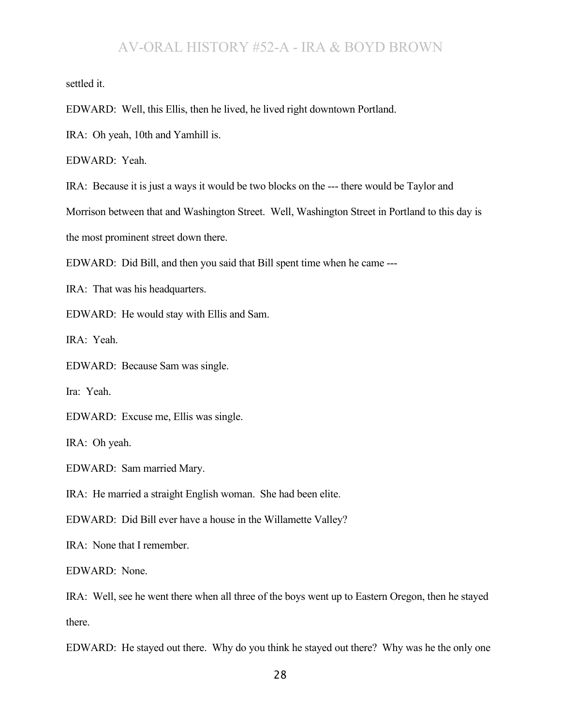settled it.

EDWARD: Well, this Ellis, then he lived, he lived right downtown Portland.

IRA: Oh yeah, 10th and Yamhill is.

EDWARD: Yeah.

IRA: Because it is just a ways it would be two blocks on the --- there would be Taylor and

Morrison between that and Washington Street. Well, Washington Street in Portland to this day is

the most prominent street down there.

EDWARD: Did Bill, and then you said that Bill spent time when he came ---

IRA: That was his headquarters.

EDWARD: He would stay with Ellis and Sam.

IRA: Yeah.

EDWARD: Because Sam was single.

Ira: Yeah.

EDWARD: Excuse me, Ellis was single.

IRA: Oh yeah.

EDWARD: Sam married Mary.

IRA: He married a straight English woman. She had been elite.

EDWARD: Did Bill ever have a house in the Willamette Valley?

IRA: None that I remember.

EDWARD: None.

IRA: Well, see he went there when all three of the boys went up to Eastern Oregon, then he stayed there.

EDWARD: He stayed out there. Why do you think he stayed out there? Why was he the only one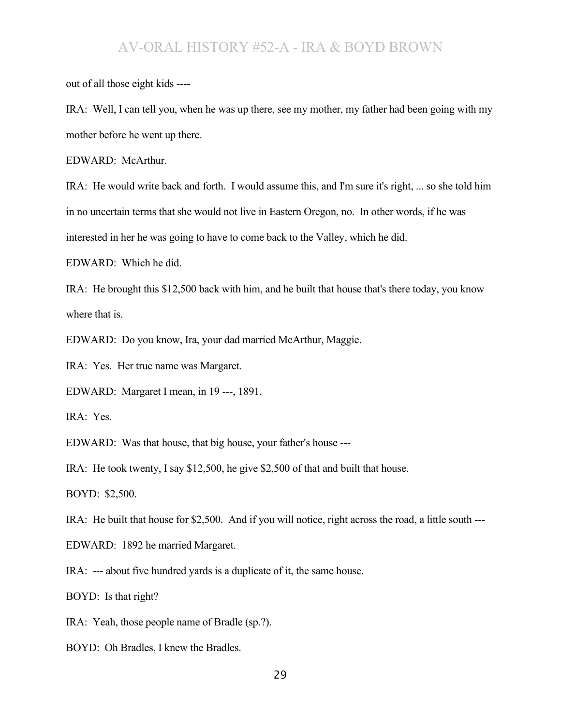out of all those eight kids ----

IRA: Well, I can tell you, when he was up there, see my mother, my father had been going with my mother before he went up there.

EDWARD: McArthur.

IRA: He would write back and forth. I would assume this, and I'm sure it's right, ... so she told him in no uncertain terms that she would not live in Eastern Oregon, no. In other words, if he was interested in her he was going to have to come back to the Valley, which he did.

EDWARD: Which he did.

IRA: He brought this \$12,500 back with him, and he built that house that's there today, you know where that is.

EDWARD: Do you know, Ira, your dad married McArthur, Maggie.

IRA: Yes. Her true name was Margaret.

EDWARD: Margaret I mean, in 19 ---, 1891.

IRA: Yes.

EDWARD: Was that house, that big house, your father's house ---

IRA: He took twenty, I say \$12,500, he give \$2,500 of that and built that house.

BOYD: \$2,500.

IRA: He built that house for \$2,500. And if you will notice, right across the road, a little south ---

EDWARD: 1892 he married Margaret.

IRA: --- about five hundred yards is a duplicate of it, the same house.

BOYD: Is that right?

IRA: Yeah, those people name of Bradle (sp.?).

BOYD: Oh Bradles, I knew the Bradles.